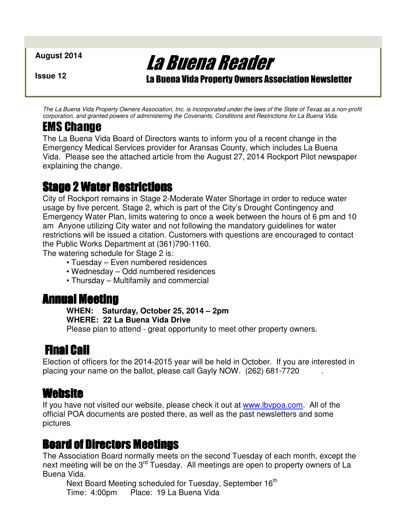**August 2014** 

**Issue 12** 

La Buena Reader

La Buena Vida Property Owners Association Newsletter

The La Buena Vida Property Owners Association, Inc. is incorporated under the laws of the State of Texas as a non-profit corporation, and granted powers of administering the Covenants, Conditions and Restrictions for La Buena Vida.

# EMS Change

The La Buena Vida Board of Directors wants to inform you of a recent change in the Emergency Medical Services provider for Aransas County, which includes La Buena Vida. Please see the attached article from the August 27, 2014 Rockport Pilot newspaper explaining the change.

# Stage 2 Water Restrictions

City of Rockport remains in Stage 2-Moderate Water Shortage in order to reduce water usage by five percent. Stage 2, which is part of the City's Drought Contingency and Emergency Water Plan, limits watering to once a week between the hours of 6 pm and 10 am Anyone utilizing City water and not following the mandatory guidelines for water restrictions will be issued a citation. Customers with questions are encouraged to contact the Public Works Department at (361)790-1160.

The watering schedule for Stage 2 is:

- Tuesday Even numbered residences
- Wednesday Odd numbered residences
- Thursday Multifamily and commercial

## Annual Meeting Annual Meeting

#### **WHEN: Saturday, October 25, 2014 – 2pm WHERE: 22 La Buena Vida Drive**

Please plan to attend - great opportunity to meet other property owners.

# Final Call

Election of officers for the 2014-2015 year will be held in October. If you are interested in placing your name on the ballot, please call Gayly NOW. (262) 681-7720 .

### **Website**

If you have not visited our website, please check it out at www. Ibvpoa.com. All of the official POA documents are posted there, as well as the past newsletters and some pictures

## **Board of Directors Meetings**

The Association Board normally meets on the second Tuesday of each month, except the next meeting will be on the 3<sup>rd</sup> Tuesday. All meetings are open to property owners of La Buena Vida.

Next Board Meeting scheduled for Tuesday, September 16<sup>th</sup> Time: 4:00pm Place: 19 La Buena Vida